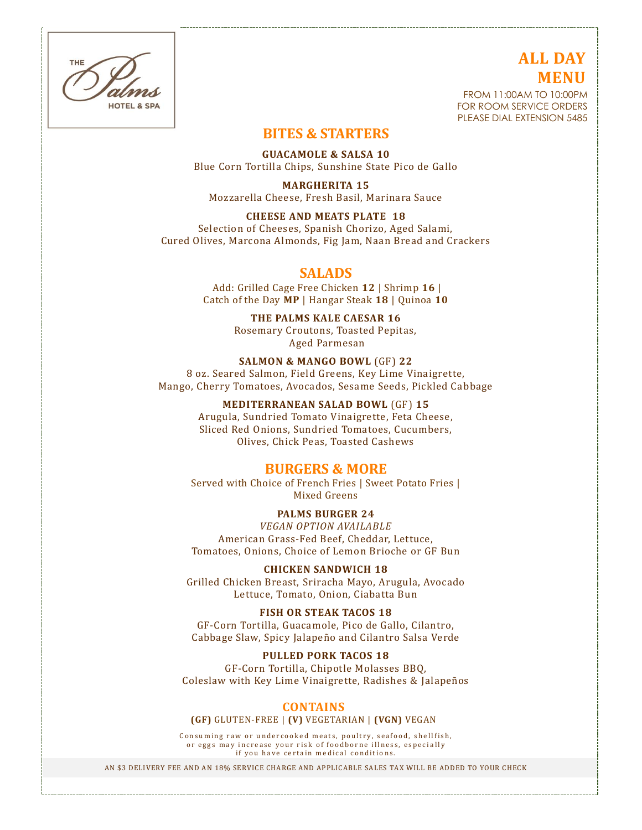THE HOTEL & SPA

# **ALL DAY MENU**

FROM 11:00AM TO 10:00PM FOR ROOM SERVICE ORDERS PLEASE DIAL EXTENSION 5485

# **BITES & STARTERS**

**GUACAMOLE & SALSA 10** Blue Corn Tortilla Chips, Sunshine State Pico de Gallo

**MARGHERITA 15** Mozzarella Cheese, Fresh Basil, Marinara Sauce

#### **CHEESE AND MEATS PLATE 18**

Selection of Cheeses, Spanish Chorizo, Aged Salami, Cured Olives, Marcona Almonds, Fig Jam, Naan Bread and Crackers

## **SALADS**

Add: Grilled Cage Free Chicken **12** | Shrimp **16** | Catch of the Day **MP** | Hangar Steak **18** | Quinoa **10**

> **THE PALMS KALE CAESAR 16** Rosemary Croutons, Toasted Pepitas, Aged Parmesan

**SALMON & MANGO BOWL** (GF) **22** 8 oz. Seared Salmon, Field Greens, Key Lime Vinaigrette, Mango, Cherry Tomatoes, Avocados, Sesame Seeds, Pickled Cabbage

#### **MEDITERRANEAN SALAD BOWL** (GF) **15**

Arugula, Sundried Tomato Vinaigrette, Feta Cheese, Sliced Red Onions, Sundried Tomatoes, Cucumbers, Olives, Chick Peas, Toasted Cashews

## **BURGERS & MORE**

Served with Choice of French Fries | Sweet Potato Fries | Mixed Greens

**PALMS BURGER 24**

*VEGAN OPTION AVAILABLE* American Grass-Fed Beef, Cheddar, Lettuce, Tomatoes, Onions, Choice of Lemon Brioche or GF Bun

#### **CHICKEN SANDWICH 18**

Grilled Chicken Breast, Sriracha Mayo, Arugula, Avocado Lettuce, Tomato, Onion, Ciabatta Bun

#### **FISH OR STEAK TACOS 18**

GF-Corn Tortilla, Guacamole, Pico de Gallo, Cilantro, Cabbage Slaw, Spicy Jalapeño and Cilantro Salsa Verde

#### **PULLED PORK TACOS 18**

GF-Corn Tortilla, Chipotle Molasses BBQ, Coleslaw with Key Lime Vinaigrette, Radishes & Jalapeños

#### **CONTAINS**

#### **(GF)** GLUTEN-FREE | **(V)** VEGETARIAN | **(VGN)** VEGAN

Consuming raw or undercooked meats, poultry, seafood, shellfish, or eggs may increase your risk of foodborne illness, especially if you have certain medical conditions.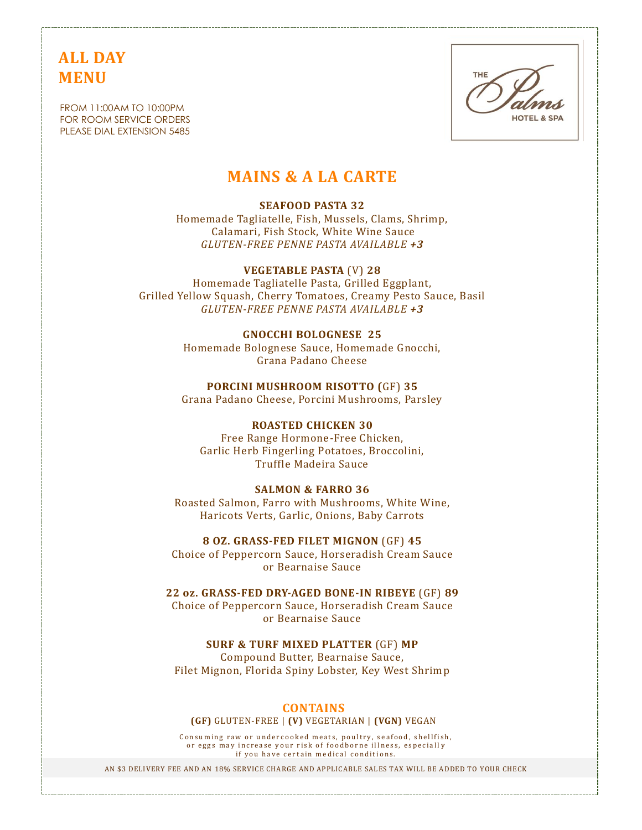# **ALL DAY MENU**

FROM 11:00AM TO 10:00PM FOR ROOM SERVICE ORDERS PLEASE DIAL EXTENSION 5485



# **MAINS & A LA CARTE**

#### **SEAFOOD PASTA 32**

Homemade Tagliatelle, Fish, Mussels, Clams, Shrimp, Calamari, Fish Stock, White Wine Sauce *GLUTEN-FREE PENNE PASTA AVAILABLE +3*

**VEGETABLE PASTA** (V) **28** Homemade Tagliatelle Pasta, Grilled Eggplant, Grilled Yellow Squash, Cherry Tomatoes, Creamy Pesto Sauce, Basil *GLUTEN-FREE PENNE PASTA AVAILABLE +3*

> **GNOCCHI BOLOGNESE 25** Homemade Bolognese Sauce, Homemade Gnocchi, Grana Padano Cheese

> **PORCINI MUSHROOM RISOTTO (**GF) **35** Grana Padano Cheese, Porcini Mushrooms, Parsley

#### **ROASTED CHICKEN 30**

Free Range Hormone-Free Chicken, Garlic Herb Fingerling Potatoes, Broccolini, Truffle Madeira Sauce

#### **SALMON & FARRO 36**

Roasted Salmon, Farro with Mushrooms, White Wine, Haricots Verts, Garlic, Onions, Baby Carrots

**8 OZ. GRASS-FED FILET MIGNON** (GF) **45** Choice of Peppercorn Sauce, Horseradish Cream Sauce or Bearnaise Sauce

**22 oz. GRASS-FED DRY-AGED BONE-IN RIBEYE** (GF) **89** Choice of Peppercorn Sauce, Horseradish Cream Sauce or Bearnaise Sauce

**SURF & TURF MIXED PLATTER** (GF) **MP** Compound Butter, Bearnaise Sauce, Filet Mignon, Florida Spiny Lobster, Key West Shrimp

#### **CONTAINS**

**(GF)** GLUTEN-FREE | **(V)** VEGETARIAN | **(VGN)** VEGAN

Consuming raw or undercooked meats, poultry, seafood, shellfish, or eggs may increase your risk of foodborne illness, especially if you have certain medical conditions.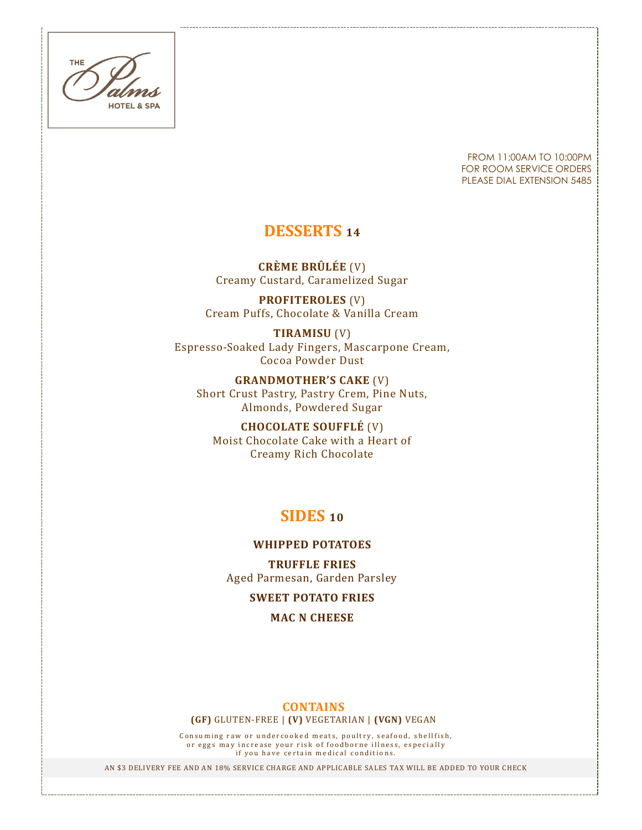THE **HOTEL & SPA** 

FROM 11:00AM TO 10:00PM FOR ROOM SERVICE ORDERS PLEASE DIAL EXTENSION 5485

# **DESSERTS <sup>14</sup>**

**CRÈME BRÛLÉE** (V) Creamy Custard, Caramelized Sugar

**PROFITEROLES** (V) Cream Puffs, Chocolate & Vanilla Cream

**TIRAMISU** (V) Espresso-Soaked Lady Fingers, Mascarpone Cream, Cocoa Powder Dust

**GRANDMOTHER'S CAKE** (V) Short Crust Pastry, Pastry Crem, Pine Nuts, Almonds, Powdered Sugar

**CHOCOLATE SOUFFLÉ** (V) Moist Chocolate Cake with a Heart of Creamy Rich Chocolate

# **SIDES <sup>10</sup>**

#### **WHIPPED POTATOES**

**TRUFFLE FRIES** Aged Parmesan, Garden Parsley

**SWEET POTATO FRIES**

**MAC N CHEESE**

## **CONTAINS**

**(GF)** GLUTEN-FREE | **(V)** VEGETARIAN | **(VGN)** VEGAN

Consuming raw or undercooked meats, poultry, seafood, shellfish, or eggs may increase your risk of foodborne illness, especially if you have certain medical conditions.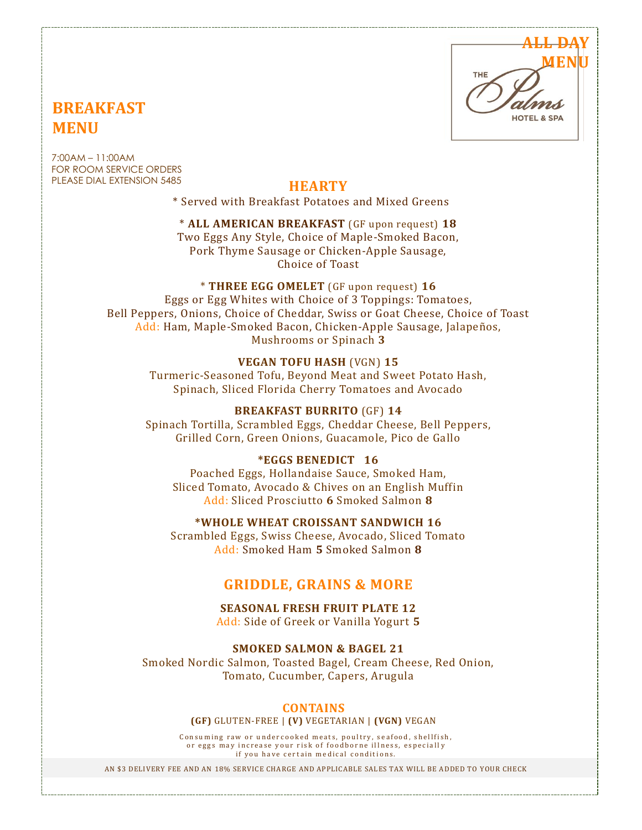# **ALL DAY MENUHOTEL & SPA**

# **BREAKFAST MENU**

7:00AM – 11:00AM FOR ROOM SERVICE ORDERS PLEASE DIAL EXTENSION 5485

# **HEARTY**

\* Served with Breakfast Potatoes and Mixed Greens

## \* **ALL AMERICAN BREAKFAST** (GF upon request) **18**

Two Eggs Any Style, Choice of Maple-Smoked Bacon, Pork Thyme Sausage or Chicken-Apple Sausage, Choice of Toast

# \* **THREE EGG OMELET** (GF upon request) **16**

Eggs or Egg Whites with Choice of 3 Toppings: Tomatoes, Bell Peppers, Onions, Choice of Cheddar, Swiss or Goat Cheese, Choice of Toast Add: Ham, Maple-Smoked Bacon, Chicken-Apple Sausage, Jalapeños, Mushrooms or Spinach **3**

## **VEGAN TOFU HASH** (VGN) **15**

Turmeric-Seasoned Tofu, Beyond Meat and Sweet Potato Hash, Spinach, Sliced Florida Cherry Tomatoes and Avocado

## **BREAKFAST BURRITO** (GF) **14**

Spinach Tortilla, Scrambled Eggs, Cheddar Cheese, Bell Peppers, Grilled Corn, Green Onions, Guacamole, Pico de Gallo

## **\*EGGS BENEDICT 16**

Poached Eggs, Hollandaise Sauce, Smoked Ham, Sliced Tomato, Avocado & Chives on an English Muffin Add: Sliced Prosciutto **6** Smoked Salmon **8**

## **\*WHOLE WHEAT CROISSANT SANDWICH 16**

Scrambled Eggs, Swiss Cheese, Avocado, Sliced Tomato Add: Smoked Ham **5** Smoked Salmon **8**

# **GRIDDLE, GRAINS & MORE**

**SEASONAL FRESH FRUIT PLATE 12** Add: Side of Greek or Vanilla Yogurt **5**

**SMOKED SALMON & BAGEL 21**

Smoked Nordic Salmon, Toasted Bagel, Cream Cheese, Red Onion, Tomato, Cucumber, Capers, Arugula

## **CONTAINS**

#### **(GF)** GLUTEN-FREE | **(V)** VEGETARIAN | **(VGN)** VEGAN

Consuming raw or undercooked meats, poultry, seafood, shellfish, or eggs may increase your risk of foodborne illness, especially if you have certain medical conditions.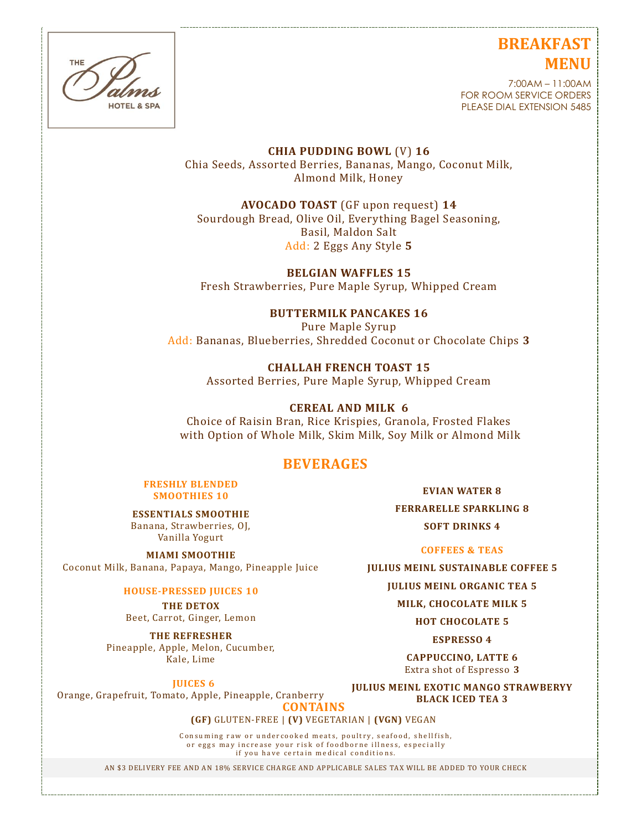# **BREAKFAST MENU**



#### 7:00AM – 11:00AM FOR ROOM SERVICE ORDERS PLEASE DIAL EXTENSION 5485

**CHIA PUDDING BOWL** (V) **16** Chia Seeds, Assorted Berries, Bananas, Mango, Coconut Milk, Almond Milk, Honey

**AVOCADO TOAST** (GF upon request) **14**

Sourdough Bread, Olive Oil, Everything Bagel Seasoning, Basil, Maldon Salt Add: 2 Eggs Any Style **5**

**BELGIAN WAFFLES 15** Fresh Strawberries, Pure Maple Syrup, Whipped Cream

**BUTTERMILK PANCAKES 16** Pure Maple Syrup Add: Bananas, Blueberries, Shredded Coconut or Chocolate Chips **3**

> **CHALLAH FRENCH TOAST 15** Assorted Berries, Pure Maple Syrup, Whipped Cream

**CEREAL AND MILK 6** Choice of Raisin Bran, Rice Krispies, Granola, Frosted Flakes with Option of Whole Milk, Skim Milk, Soy Milk or Almond Milk

# **BEVERAGES**

**FRESHLY BLENDED SMOOTHIES 10**

**ESSENTIALS SMOOTHIE**  Banana, Strawberries, OJ, Vanilla Yogurt

**MIAMI SMOOTHIE** Coconut Milk, Banana, Papaya, Mango, Pineapple Juice

**HOUSE-PRESSED JUICES 10**

**THE DETOX** Beet, Carrot, Ginger, Lemon

**THE REFRESHER** Pineapple, Apple, Melon, Cucumber, Kale, Lime

**JUICES 6**

**JULIUS MEINL EXOTIC MANGO STRAWBERYY BLACK ICED TEA 3**

Orange, Grapefruit, Tomato, Apple, Pineapple, Cranberry

**CONTAINS**

**(GF)** GLUTEN-FREE | **(V)** VEGETARIAN | **(VGN)** VEGAN

Consuming raw or undercooked meats, poultry, seafood, shellfish, or eggs may increase your risk of foodborne illness, especially if you have certain medical conditions.

AN \$3 DELIVERY FEE AND AN 18% SERVICE CHARGE AND APPLICABLE SALES TAX WILL BE ADDED TO YOUR CHECK

**EVIAN WATER 8**

**FERRARELLE SPARKLING 8 SOFT DRINKS 4**

**COFFEES & TEAS**

**JULIUS MEINL SUSTAINABLE COFFEE 5**

**JULIUS MEINL ORGANIC TEA 5**

**MILK, CHOCOLATE MILK 5**

**HOT CHOCOLATE 5**

**ESPRESSO 4**

**CAPPUCCINO, LATTE 6** Extra shot of Espresso **3**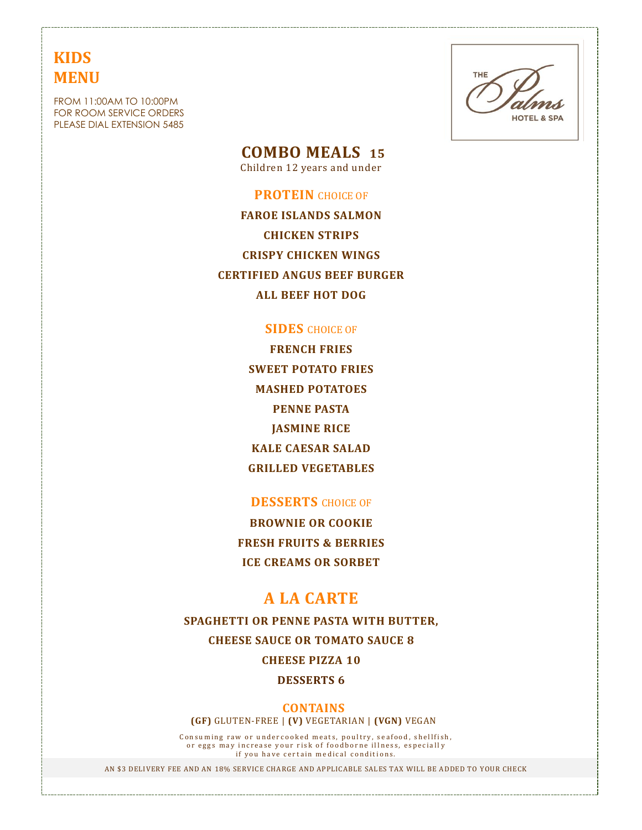# **KIDS MENU**

FROM 11:00AM TO 10:00PM FOR ROOM SERVICE ORDERS PLEASE DIAL EXTENSION 5485



 **COMBO MEALS 15**

Children 12 years and under

#### **PROTEIN** CHOICE OF

**FAROE ISLANDS SALMON CHICKEN STRIPS CRISPY CHICKEN WINGS CERTIFIED ANGUS BEEF BURGER ALL BEEF HOT DOG**

## **SIDES** CHOICE OF

**FRENCH FRIES SWEET POTATO FRIES MASHED POTATOES PENNE PASTA JASMINE RICE KALE CAESAR SALAD GRILLED VEGETABLES**

## **DESSERTS** CHOICE OF

**BROWNIE OR COOKIE FRESH FRUITS & BERRIES ICE CREAMS OR SORBET**

# **A LA CARTE**

**SPAGHETTI OR PENNE PASTA WITH BUTTER, CHEESE SAUCE OR TOMATO SAUCE 8 CHEESE PIZZA 10**

**DESSERTS 6**

**CONTAINS (GF)** GLUTEN-FREE | **(V)** VEGETARIAN | **(VGN)** VEGAN

Consuming raw or undercooked meats, poultry, seafood, shellfish, or eggs may increase your risk of foodborne illness, especially if you have certain medical conditions.